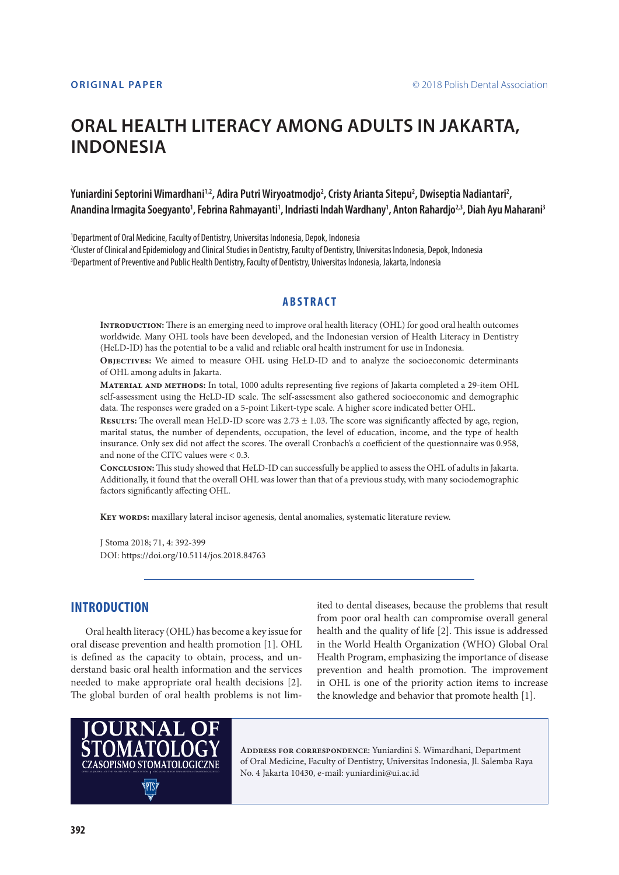# **ORAL HEALTH LITERACY AMONG ADULTS IN JAKARTA, INDONESIA**

# Yuniardini Septorini Wimardhani<sup>1,2</sup>, Adira Putri Wiryoatmodjo<sup>2</sup>, Cristy Arianta Sitepu<sup>2</sup>, Dwiseptia Nadiantari<sup>2</sup>, Anandina Irmagita Soegyanto<sup>1</sup>, Febrina Rahmayanti<sup>1</sup>, Indriasti Indah Wardhany<sup>1</sup>, Anton Rahardjo<sup>2,3</sup>, Diah Ayu Maharani<sup>3</sup>

1 Department of Oral Medicine, Faculty of Dentistry, Universitas Indonesia, Depok, Indonesia 2 Cluster of Clinical and Epidemiology and Clinical Studies in Dentistry, Faculty of Dentistry, Universitas Indonesia, Depok, Indonesia 3 Department of Preventive and Public Health Dentistry, Faculty of Dentistry, Universitas Indonesia, Jakarta, Indonesia

#### **ABSTRACT**

**Introduction:** There is an emerging need to improve oral health literacy (OHL) for good oral health outcomes worldwide. Many OHL tools have been developed, and the Indonesian version of Health Literacy in Dentistry (HeLD-ID) has the potential to be a valid and reliable oral health instrument for use in Indonesia.

**Objectives:** We aimed to measure OHL using HeLD-ID and to analyze the socioeconomic determinants of OHL among adults in Jakarta.

**Material and methods:** In total, 1000 adults representing five regions of Jakarta completed a 29-item OHL self-assessment using the HeLD-ID scale. The self-assessment also gathered socioeconomic and demographic data. The responses were graded on a 5-point Likert-type scale. A higher score indicated better OHL.

**Results:** The overall mean HeLD-ID score was 2.73 ± 1.03. The score was significantly affected by age, region, marital status, the number of dependents, occupation, the level of education, income, and the type of health insurance. Only sex did not affect the scores. The overall Cronbach's α coefficient of the questionnaire was 0.958, and none of the CITC values were < 0.3.

**Conclusion:** This study showed that HeLD-ID can successfully be applied to assess the OHL of adults in Jakarta. Additionally, it found that the overall OHL was lower than that of a previous study, with many sociodemographic factors significantly affecting OHL.

KEY WORDS: maxillary lateral incisor agenesis, dental anomalies, systematic literature review.

J Stoma 2018; 71, 4: 392-399 DOI: https://doi.org/10.5114/jos.2018.84763

# **INTRODUCTION**

Oral health literacy (OHL) has become a key issue for oral disease prevention and health promotion [1]. OHL is defined as the capacity to obtain, process, and understand basic oral health information and the services needed to make appropriate oral health decisions [2]. The global burden of oral health problems is not limited to dental diseases, because the problems that result from poor oral health can compromise overall general health and the quality of life [2]. This issue is addressed in the World Health Organization (WHO) Global Oral Health Program, emphasizing the importance of disease prevention and health promotion. The improvement in OHL is one of the priority action items to increase the knowledge and behavior that promote health [1].



**Address for correspondence:** Yuniardini S. Wimardhani, Department of Oral Medicine, Faculty of Dentistry, Universitas Indonesia, Jl. Salemba Raya No. 4 Jakarta 10430, e-mail: yuniardini@ui.ac.id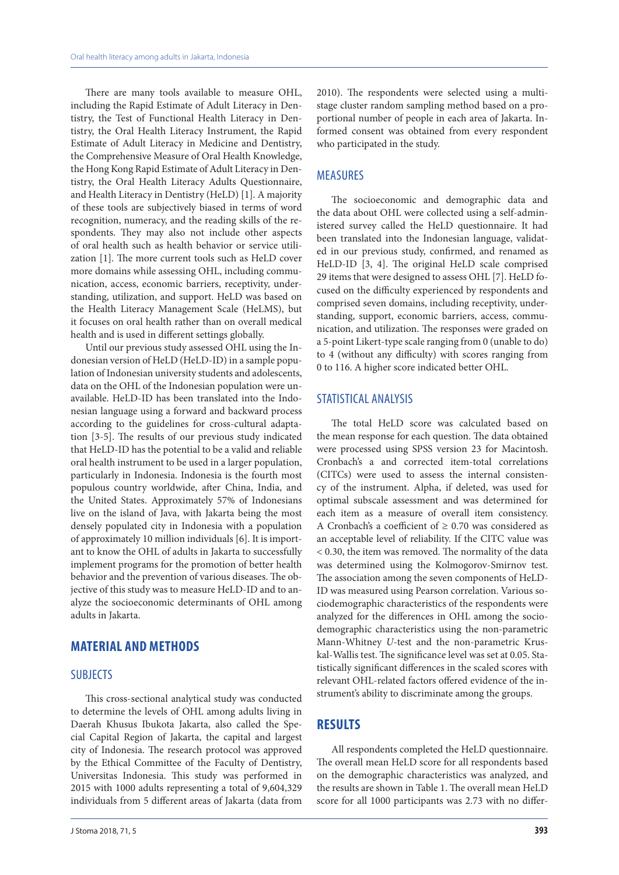There are many tools available to measure OHL, including the Rapid Estimate of Adult Literacy in Dentistry, the Test of Functional Health Literacy in Dentistry, the Oral Health Literacy Instrument, the Rapid Estimate of Adult Literacy in Medicine and Dentistry, the Comprehensive Measure of Oral Health Knowledge, the Hong Kong Rapid Estimate of Adult Literacy in Dentistry, the Oral Health Literacy Adults Questionnaire, and Health Literacy in Dentistry (HeLD) [1]. A majority of these tools are subjectively biased in terms of word recognition, numeracy, and the reading skills of the respondents. They may also not include other aspects of oral health such as health behavior or service utilization [1]. The more current tools such as HeLD cover more domains while assessing OHL, including communication, access, economic barriers, receptivity, understanding, utilization, and support. HeLD was based on the Health Literacy Management Scale (HeLMS), but it focuses on oral health rather than on overall medical health and is used in different settings globally.

Until our previous study assessed OHL using the Indonesian version of HeLD (HeLD-ID) in a sample population of Indonesian university students and adolescents, data on the OHL of the Indonesian population were unavailable. HeLD-ID has been translated into the Indonesian language using a forward and backward process according to the guidelines for cross-cultural adaptation [3-5]. The results of our previous study indicated that HeLD-ID has the potential to be a valid and reliable oral health instrument to be used in a larger population, particularly in Indonesia. Indonesia is the fourth most populous country worldwide, after China, India, and the United States. Approximately 57% of Indonesians live on the island of Java, with Jakarta being the most densely populated city in Indonesia with a population of approximately 10 million individuals [6]. It is important to know the OHL of adults in Jakarta to successfully implement programs for the promotion of better health behavior and the prevention of various diseases. The objective of this study was to measure HeLD-ID and to analyze the socioeconomic determinants of OHL among adults in Jakarta.

# **MATERIAL AND METHODS**

#### SUBJECTS

This cross-sectional analytical study was conducted to determine the levels of OHL among adults living in Daerah Khusus Ibukota Jakarta, also called the Special Capital Region of Jakarta, the capital and largest city of Indonesia. The research protocol was approved by the Ethical Committee of the Faculty of Dentistry, Universitas Indonesia. This study was performed in 2015 with 1000 adults representing a total of 9,604,329 individuals from 5 different areas of Jakarta (data from 2010). The respondents were selected using a multistage cluster random sampling method based on a proportional number of people in each area of Jakarta. Informed consent was obtained from every respondent who participated in the study.

### MEASURES

The socioeconomic and demographic data and the data about OHL were collected using a self-administered survey called the HeLD questionnaire. It had been translated into the Indonesian language, validated in our previous study, confirmed, and renamed as HeLD-ID [3, 4]. The original HeLD scale comprised 29 items that were designed to assess OHL [7]. HeLD focused on the difficulty experienced by respondents and comprised seven domains, including receptivity, understanding, support, economic barriers, access, communication, and utilization. The responses were graded on a 5-point Likert-type scale ranging from 0 (unable to do) to 4 (without any difficulty) with scores ranging from 0 to 116. A higher score indicated better OHL.

#### STATISTICAL ANALYSIS

The total HeLD score was calculated based on the mean response for each question. The data obtained were processed using SPSS version 23 for Macintosh. Cronbach's a and corrected item-total correlations (CITCs) were used to assess the internal consistency of the instrument. Alpha, if deleted, was used for optimal subscale assessment and was determined for each item as a measure of overall item consistency. A Cronbach's a coefficient of ≥ 0.70 was considered as an acceptable level of reliability. If the CITC value was < 0.30, the item was removed. The normality of the data was determined using the Kolmogorov-Smirnov test. The association among the seven components of HeLD-ID was measured using Pearson correlation. Various sociodemographic characteristics of the respondents were analyzed for the differences in OHL among the sociodemographic characteristics using the non-parametric Mann-Whitney *U*-test and the non-parametric Kruskal-Wallis test. The significance level was set at 0.05. Statistically significant differences in the scaled scores with relevant OHL-related factors offered evidence of the instrument's ability to discriminate among the groups.

#### **RESULTS**

All respondents completed the HeLD questionnaire. The overall mean HeLD score for all respondents based on the demographic characteristics was analyzed, and the results are shown in Table 1. The overall mean HeLD score for all 1000 participants was 2.73 with no differ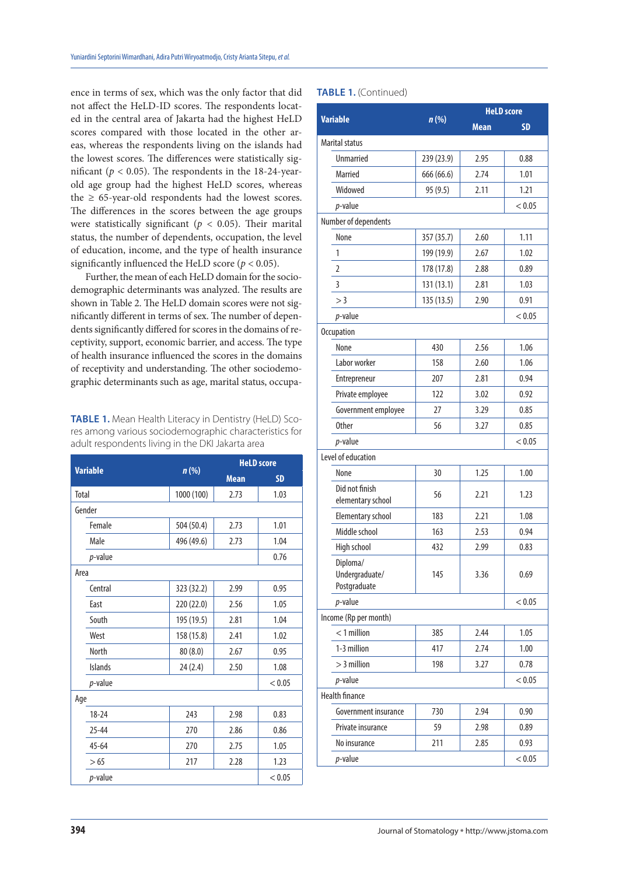ence in terms of sex, which was the only factor that did not affect the HeLD-ID scores. The respondents located in the central area of Jakarta had the highest HeLD scores compared with those located in the other areas, whereas the respondents living on the islands had the lowest scores. The differences were statistically significant ( $p < 0.05$ ). The respondents in the 18-24-yearold age group had the highest HeLD scores, whereas the  $\geq 65$ -year-old respondents had the lowest scores. The differences in the scores between the age groups were statistically significant ( $p < 0.05$ ). Their marital status, the number of dependents, occupation, the level of education, income, and the type of health insurance significantly influenced the HeLD score  $(p < 0.05)$ .

Further, the mean of each HeLD domain for the sociodemographic determinants was analyzed. The results are shown in Table 2. The HeLD domain scores were not significantly different in terms of sex. The number of dependents significantly differed for scores in the domains of receptivity, support, economic barrier, and access. The type of health insurance influenced the scores in the domains of receptivity and understanding. The other sociodemographic determinants such as age, marital status, occupa-

**TABLE 1.** Mean Health Literacy in Dentistry (HeLD) Scores among various sociodemographic characteristics for adult respondents living in the DKI Jakarta area

|                 |            |             | <b>HeLD</b> score |  |
|-----------------|------------|-------------|-------------------|--|
| <b>Variable</b> | $n$ (%)    | <b>Mean</b> | <b>SD</b>         |  |
| Total           | 1000 (100) | 2.73        | 1.03              |  |
| Gender          |            |             |                   |  |
| Female          | 504 (50.4) | 2.73        | 1.01              |  |
| Male            | 496 (49.6) | 2.73        | 1.04              |  |
| $p$ -value      |            |             | 0.76              |  |
| Area            |            |             |                   |  |
| Central         | 323 (32.2) | 2.99        | 0.95              |  |
| East            | 220 (22.0) | 2.56        | 1.05              |  |
| South           | 195 (19.5) | 2.81        | 1.04              |  |
| West            | 158 (15.8) | 2.41        | 1.02              |  |
| <b>North</b>    | 80 (8.0)   | 2.67        | 0.95              |  |
| <b>Islands</b>  | 24(2.4)    | 2.50        | 1.08              |  |
| $p$ -value      |            |             | < 0.05            |  |
| Age             |            |             |                   |  |
| $18 - 24$       | 243        | 2.98        | 0.83              |  |
| $25 - 44$       | 270        | 2.86        | 0.86              |  |
| $45 - 64$       | 270        | 2.75        | 1.05              |  |
| > 65            | 217        | 2.28        | 1.23              |  |
| $p$ -value      |            |             | < 0.05            |  |

#### **TABLE 1.** (Continued)

| <b>Variable</b>                            |            |             | <b>HeLD</b> score |
|--------------------------------------------|------------|-------------|-------------------|
|                                            | $n$ (%)    | <b>Mean</b> | <b>SD</b>         |
| <b>Marital status</b>                      |            |             |                   |
| <b>Unmarried</b>                           | 239 (23.9) | 2.95        | 0.88              |
| Married                                    | 666 (66.6) | 2.74        | 1.01              |
| Widowed                                    | 95 (9.5)   | 2.11        | 1.21              |
| $p$ -value                                 |            |             | < 0.05            |
| Number of dependents                       |            |             |                   |
| None                                       | 357 (35.7) | 2.60        | 1.11              |
| 1                                          | 199 (19.9) | 2.67        | 1.02              |
| $\overline{2}$                             | 178 (17.8) | 2.88        | 0.89              |
| 3                                          | 131(13.1)  | 2.81        | 1.03              |
| >3                                         | 135 (13.5) | 2.90        | 0.91              |
| $p$ -value                                 |            |             | < 0.05            |
| <b>Occupation</b>                          |            |             |                   |
| None                                       | 430        | 2.56        | 1.06              |
| Labor worker                               | 158        | 2.60        | 1.06              |
| Entrepreneur                               | 207        | 2.81        | 0.94              |
| Private employee                           | 122        | 3.02        | 0.92              |
| Government employee                        | 27         | 3.29        | 0.85              |
| <b>Other</b>                               | 56         | 3.27        | 0.85              |
| $p$ -value                                 |            |             | < 0.05            |
| Level of education                         |            |             |                   |
| None                                       | 30         | 1.25        | 1.00              |
| Did not finish<br>elementary school        | 56         | 2.21        | 1.23              |
| Elementary school                          | 183        | 2.21        | 1.08              |
| Middle school                              | 163        | 2.53        | 0.94              |
| High school                                | 432        | 2.99        | 0.83              |
| Diploma/<br>Undergraduate/<br>Postgraduate | 145        | 3.36        | 0.69              |
| $p$ -value                                 |            |             | < 0.05            |
| Income (Rp per month)                      |            |             |                   |
| $<$ 1 million                              | 385        | 2.44        | 1.05              |
| 1-3 million                                | 417        | 2.74        | 1.00              |
| $>$ 3 million                              | 198        | 3.27        | 0.78              |
| $p$ -value                                 |            |             | < 0.05            |
| <b>Health finance</b>                      |            |             |                   |
| Government insurance                       | 730        | 2.94        | 0.90              |
| Private insurance                          | 59         | 2.98        | 0.89              |
| No insurance                               | 211        | 2.85        | 0.93              |
| $p$ -value                                 |            |             | < 0.05            |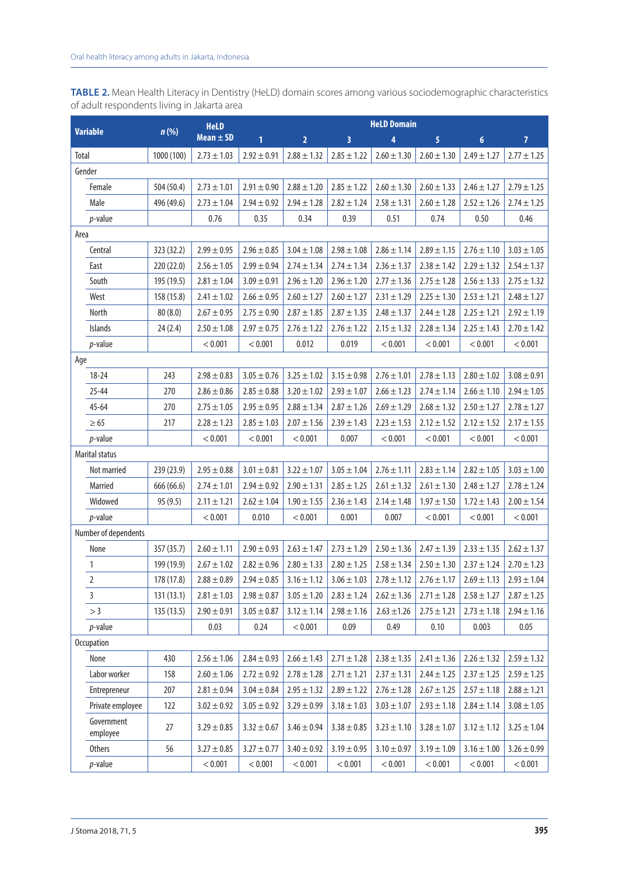**TABLE 2.** Mean Health Literacy in Dentistry (HeLD) domain scores among various sociodemographic characteristics of adult respondents living in Jakarta area

|                        |            | <b>HeLD</b>     |                 | <b>HeLD Domain</b>              |                 |                                                                       |                         |                  |                 |
|------------------------|------------|-----------------|-----------------|---------------------------------|-----------------|-----------------------------------------------------------------------|-------------------------|------------------|-----------------|
| <b>Variable</b>        | $n$ (%)    | Mean $\pm$ SD   | $\mathbf{1}$    | $\overline{2}$                  | 3               | 4                                                                     | $\overline{\mathbf{5}}$ | $\boldsymbol{6}$ | $\overline{7}$  |
| Total                  | 1000 (100) | $2.73 \pm 1.03$ | $2.92 \pm 0.91$ | $2.88 \pm 1.32$                 | $2.85 \pm 1.22$ | $2.60 \pm 1.30$                                                       | $2.60 \pm 1.30$         | $2.49 \pm 1.27$  | $2.77 \pm 1.25$ |
| Gender                 |            |                 |                 |                                 |                 |                                                                       |                         |                  |                 |
| Female                 | 504 (50.4) | $2.73 \pm 1.01$ | $2.91 \pm 0.90$ | $2.88 \pm 1.20$                 | $2.85 \pm 1.22$ | $2.60 \pm 1.30$                                                       | $2.60 \pm 1.33$         | $2.46 \pm 1.27$  | $2.79 \pm 1.25$ |
| Male                   | 496 (49.6) | $2.73 \pm 1.04$ | $2.94\pm0.92$   | $2.94 \pm 1.28$                 | $2.82 \pm 1.24$ | $2.58 \pm 1.31$                                                       | $2.60 \pm 1.28$         | $2.52 \pm 1.26$  | $2.74 \pm 1.25$ |
| $p$ -value             |            | 0.76            | 0.35            | 0.34                            | 0.39            | 0.51                                                                  | 0.74                    | 0.50             | 0.46            |
| Area                   |            |                 |                 |                                 |                 |                                                                       |                         |                  |                 |
| Central                | 323 (32.2) | $2.99 \pm 0.95$ | $2.96 \pm 0.85$ | $3.04 \pm 1.08$                 | $2.98 \pm 1.08$ | $2.86 \pm 1.14$                                                       | $2.89 \pm 1.15$         | $2.76 \pm 1.10$  | $3.03 \pm 1.05$ |
| East                   | 220(22.0)  | $2.56 \pm 1.05$ | $2.99 \pm 0.94$ | $2.74 \pm 1.34$                 | $2.74 \pm 1.34$ | $2.36 \pm 1.37$                                                       | $2.38 \pm 1.42$         | $2.29 \pm 1.32$  | $2.54 \pm 1.37$ |
| South                  | 195 (19.5) | $2.81 \pm 1.04$ | $3.09 \pm 0.91$ | $2.96 \pm 1.20$                 | $2.96 \pm 1.20$ | $2.77 \pm 1.36$                                                       | $2.75 \pm 1.28$         | $2.56 \pm 1.33$  | $2.75 \pm 1.32$ |
| West                   | 158 (15.8) | $2.41 \pm 1.02$ | $2.66 \pm 0.95$ | $2.60 \pm 1.27$                 | $2.60 \pm 1.27$ | $2.31 \pm 1.29$                                                       | $2.25 \pm 1.30$         | $2.53 \pm 1.21$  | $2.48 \pm 1.27$ |
| North                  | 80(8.0)    | $2.67 \pm 0.95$ | $2.75 \pm 0.90$ | $2.87 \pm 1.85$                 | $2.87 \pm 1.35$ | $2.48 \pm 1.37$                                                       | $2.44 \pm 1.28$         | $2.25 \pm 1.21$  | $2.92 \pm 1.19$ |
| <b>Islands</b>         | 24(2.4)    | $2.50 \pm 1.08$ | $2.97 \pm 0.75$ | $2.76 \pm 1.22$                 | $2.76 \pm 1.22$ | $2.15 \pm 1.32$                                                       | $2.28 \pm 1.34$         | $2.25 \pm 1.43$  | $2.70 \pm 1.42$ |
| $p$ -value             |            | < 0.001         | < 0.001         | 0.012                           | 0.019           | < 0.001                                                               | < 0.001                 | < 0.001          | < 0.001         |
| Age                    |            |                 |                 |                                 |                 |                                                                       |                         |                  |                 |
| 18-24                  | 243        | $2.98 \pm 0.83$ | $3.05 \pm 0.76$ | $3.25 \pm 1.02$                 | $3.15 \pm 0.98$ | $2.76 \pm 1.01$                                                       | $2.78 \pm 1.13$         | $2.80 \pm 1.02$  | $3.08 \pm 0.91$ |
| $25 - 44$              | 270        | $2.86 \pm 0.86$ | $2.85 \pm 0.88$ | $3.20 \pm 1.02$                 | $2.93 \pm 1.07$ | $2.66 \pm 1.23$                                                       | $2.74 \pm 1.14$         | $2.66 \pm 1.10$  | $2.94 \pm 1.05$ |
| $45 - 64$              | 270        | $2.75 \pm 1.05$ | $2.95 \pm 0.95$ | $2.88 \pm 1.34$                 | $2.87 \pm 1.26$ | $2.69 \pm 1.29$                                                       | $2.68 \pm 1.32$         | $2.50 \pm 1.27$  | $2.78 \pm 1.27$ |
| $\geq 65$              | 217        | $2.28 \pm 1.23$ | $2.85 \pm 1.03$ | $2.07 \pm 1.56$                 | $2.39 \pm 1.43$ | $2.23 \pm 1.53$                                                       | $2.12 \pm 1.52$         | $2.12 \pm 1.52$  | $2.17 \pm 1.55$ |
| $p$ -value             |            | < 0.001         | < 0.001         | < 0.001                         | 0.007           | < 0.001                                                               | < 0.001                 | < 0.001          | < 0.001         |
| <b>Marital status</b>  |            |                 |                 |                                 |                 |                                                                       |                         |                  |                 |
| Not married            | 239 (23.9) | $2.95 \pm 0.88$ | $3.01 \pm 0.81$ | $3.22 \pm 1.07$                 | $3.05 \pm 1.04$ | $2.76 \pm 1.11$                                                       | $2.83 \pm 1.14$         | $2.82 \pm 1.05$  | $3.03 \pm 1.00$ |
| Married                | 666 (66.6) | $2.74 \pm 1.01$ | $2.94 \pm 0.92$ | $2.90 \pm 1.31$                 | $2.85 \pm 1.25$ | $2.61 \pm 1.32$                                                       | $2.61 \pm 1.30$         | $2.48 \pm 1.27$  | $2.78 \pm 1.24$ |
| Widowed                | 95(9.5)    | $2.11 \pm 1.21$ | $2.62 \pm 1.04$ | $1.90 \pm 1.55$                 | $2.36 \pm 1.43$ | $2.14 \pm 1.48$                                                       | $1.97 \pm 1.50$         | $1.72 \pm 1.43$  | $2.00 \pm 1.54$ |
| $p$ -value             |            | < 0.001         | 0.010           | < 0.001                         | 0.001           | 0.007                                                                 | < 0.001                 | < 0.001          | < 0.001         |
| Number of dependents   |            |                 |                 |                                 |                 |                                                                       |                         |                  |                 |
| None                   | 357 (35.7) | $2.60 \pm 1.11$ | $2.90 \pm 0.93$ | $2.63 \pm 1.47$                 | $2.73 \pm 1.29$ | $2.50 \pm 1.36$                                                       | $2.47 \pm 1.39$         | $2.33 \pm 1.35$  | $2.62 \pm 1.37$ |
| 1                      | 199 (19.9) | $2.67 \pm 1.02$ | $2.82 \pm 0.96$ | $2.80 \pm 1.33$                 | $2.80 \pm 1.25$ | $2.58 \pm 1.34$                                                       | $2.50 \pm 1.30$         | $2.37 \pm 1.24$  | $2.70 \pm 1.23$ |
| $\overline{2}$         | 178 (17.8) | $2.88 \pm 0.89$ |                 | $2.94 \pm 0.85$ 3.16 $\pm$ 1.12 |                 | $3.06 \pm 1.03$   2.78 $\pm$ 1.12   2.76 $\pm$ 1.17   2.69 $\pm$ 1.13 |                         |                  | $2.93 \pm 1.04$ |
| 3                      | 131(13.1)  | $2.81 \pm 1.03$ | $2.98 \pm 0.87$ | $3.05 \pm 1.20$                 | $2.83 \pm 1.24$ | $2.62 \pm 1.36$                                                       | $2.71 \pm 1.28$         | $2.58 \pm 1.27$  | $2.87 \pm 1.25$ |
| >3                     | 135(13.5)  | $2.90 \pm 0.91$ | $3.05 \pm 0.87$ | $3.12 \pm 1.14$                 | $2.98 \pm 1.16$ | $2.63 \pm 1.26$                                                       | $2.75 \pm 1.21$         | $2.73 \pm 1.18$  | $2.94 \pm 1.16$ |
| $p$ -value             |            | 0.03            | 0.24            | < 0.001                         | 0.09            | 0.49                                                                  | 0.10                    | 0.003            | 0.05            |
| <b>Occupation</b>      |            |                 |                 |                                 |                 |                                                                       |                         |                  |                 |
| None                   | 430        | $2.56 \pm 1.06$ | $2.84 \pm 0.93$ | $2.66 \pm 1.43$                 | $2.71 \pm 1.28$ | $2.38 \pm 1.35$                                                       | $2.41 \pm 1.36$         | $2.26 \pm 1.32$  | $2.59 \pm 1.32$ |
| Labor worker           | 158        | $2.60 \pm 1.06$ | $2.72 \pm 0.92$ | $2.78\pm1.28$                   | $2.71 \pm 1.21$ | $2.37 \pm 1.31$                                                       | $2.44 \pm 1.25$         | $2.37 \pm 1.25$  | $2.59 \pm 1.25$ |
| Entrepreneur           | 207        | $2.81 \pm 0.94$ | $3.04 \pm 0.84$ | $2.95 \pm 1.32$                 | $2.89 \pm 1.22$ | $2.76 \pm 1.28$                                                       | $2.67 \pm 1.25$         | $2.57 \pm 1.18$  | $2.88 \pm 1.21$ |
| Private employee       | 122        | $3.02\pm0.92$   | $3.05\pm0.92$   | $3.29 \pm 0.99$                 | $3.18 \pm 1.03$ | $3.03 \pm 1.07$                                                       | $2.93 \pm 1.18$         | $2.84 \pm 1.14$  | $3.08 \pm 1.05$ |
| Government<br>employee | 27         | $3.29 \pm 0.85$ | $3.32 \pm 0.67$ | $3.46 \pm 0.94$                 | $3.38 \pm 0.85$ | $3.23 \pm 1.10$                                                       | $3.28 \pm 1.07$         | $3.12 \pm 1.12$  | $3.25 \pm 1.04$ |
| <b>Others</b>          | 56         | $3.27 \pm 0.85$ | $3.27 \pm 0.77$ | $3.40 \pm 0.92$                 | $3.19 \pm 0.95$ | $3.10 \pm 0.97$                                                       | $3.19 \pm 1.09$         | $3.16 \pm 1.00$  | $3.26 \pm 0.99$ |
| $p$ -value             |            | < 0.001         | < 0.001         | < 0.001                         | < 0.001         | < 0.001                                                               | < 0.001                 | < 0.001          | < 0.001         |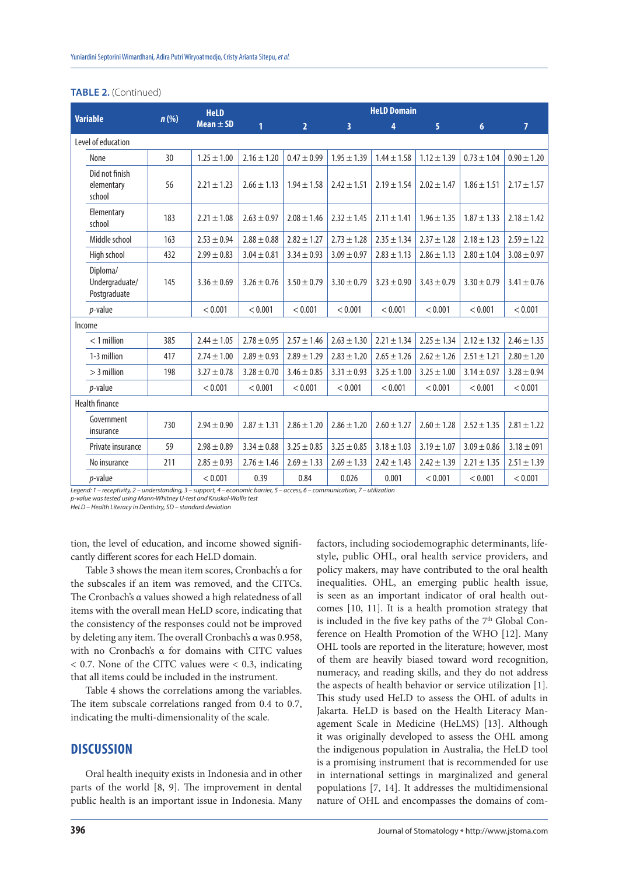#### **TABLE 2.** (Continued)

| <b>Variable</b>                            | n(%) | <b>HeLD</b>     |                 | <b>HeLD Domain</b> |                 |                 |                 |                 |                 |
|--------------------------------------------|------|-----------------|-----------------|--------------------|-----------------|-----------------|-----------------|-----------------|-----------------|
|                                            |      | $Mean \pm SD$   | 1               | 2 <sup>1</sup>     | 3               | 4               | 5               | $6\phantom{1}$  | $\overline{7}$  |
| Level of education                         |      |                 |                 |                    |                 |                 |                 |                 |                 |
| None                                       | 30   | $1.25 \pm 1.00$ | $2.16 \pm 1.20$ | $0.47 \pm 0.99$    | $1.95 \pm 1.39$ | $1.44 \pm 1.58$ | $1.12 \pm 1.39$ | $0.73 \pm 1.04$ | $0.90 \pm 1.20$ |
| Did not finish<br>elementary<br>school     | 56   | $2.21 \pm 1.23$ | $2.66 \pm 1.13$ | $1.94 \pm 1.58$    | $2.42 \pm 1.51$ | $2.19 \pm 1.54$ | $2.02 \pm 1.47$ | $1.86 \pm 1.51$ | $2.17 \pm 1.57$ |
| Elementary<br>school                       | 183  | $2.21 \pm 1.08$ | $2.63 \pm 0.97$ | $2.08 \pm 1.46$    | $2.32 \pm 1.45$ | $2.11 \pm 1.41$ | $1.96 \pm 1.35$ | $1.87 \pm 1.33$ | $2.18 \pm 1.42$ |
| Middle school                              | 163  | $2.53 \pm 0.94$ | $2.88 \pm 0.88$ | $2.82 \pm 1.27$    | $2.73 \pm 1.28$ | $2.35 \pm 1.34$ | $2.37 \pm 1.28$ | $2.18 \pm 1.23$ | $2.59 \pm 1.22$ |
| High school                                | 432  | $2.99 \pm 0.83$ | $3.04 \pm 0.81$ | $3.34 \pm 0.93$    | $3.09 \pm 0.97$ | $2.83 \pm 1.13$ | $2.86 \pm 1.13$ | $2.80 \pm 1.04$ | $3.08 \pm 0.97$ |
| Diploma/<br>Undergraduate/<br>Postgraduate | 145  | $3.36 \pm 0.69$ | $3.26 \pm 0.76$ | $3.50 \pm 0.79$    | $3.30 \pm 0.79$ | $3.23 \pm 0.90$ | $3.43 \pm 0.79$ | $3.30 \pm 0.79$ | $3.41 \pm 0.76$ |
| <i>p</i> -value                            |      | < 0.001         | < 0.001         | < 0.001            | < 0.001         | < 0.001         | < 0.001         | < 0.001         | < 0.001         |
| Income                                     |      |                 |                 |                    |                 |                 |                 |                 |                 |
| $<$ 1 million                              | 385  | $2.44 \pm 1.05$ | $2.78 \pm 0.95$ | $2.57 \pm 1.46$    | $2.63 \pm 1.30$ | $2.21 \pm 1.34$ | $2.25 \pm 1.34$ | $2.12 \pm 1.32$ | $2.46 \pm 1.35$ |
| 1-3 million                                | 417  | $2.74 \pm 1.00$ | $2.89 \pm 0.93$ | $2.89 \pm 1.29$    | $2.83 \pm 1.20$ | $2.65 \pm 1.26$ | $2.62 \pm 1.26$ | $2.51 \pm 1.21$ | $2.80 \pm 1.20$ |
| $>$ 3 million                              | 198  | $3.27 \pm 0.78$ | $3.28 \pm 0.70$ | $3.46 \pm 0.85$    | $3.31 \pm 0.93$ | $3.25 \pm 1.00$ | $3.25 \pm 1.00$ | $3.14 \pm 0.97$ | $3.28 \pm 0.94$ |
| <i>p</i> -value                            |      | < 0.001         | < 0.001         | < 0.001            | < 0.001         | < 0.001         | < 0.001         | < 0.001         | < 0.001         |
| <b>Health finance</b>                      |      |                 |                 |                    |                 |                 |                 |                 |                 |
| Government<br>insurance                    | 730  | $2.94 \pm 0.90$ | $2.87 \pm 1.31$ | $2.86 \pm 1.20$    | $2.86 \pm 1.20$ | $2.60 \pm 1.27$ | $2.60 \pm 1.28$ | $2.52 \pm 1.35$ | $2.81 \pm 1.22$ |
| Private insurance                          | 59   | $2.98 \pm 0.89$ | $3.34 \pm 0.88$ | $3.25 \pm 0.85$    | $3.25 \pm 0.85$ | $3.18 \pm 1.03$ | $3.19 \pm 1.07$ | $3.09 \pm 0.86$ | $3.18 \pm 091$  |
| No insurance                               | 211  | $2.85 \pm 0.93$ | $2.76 \pm 1.46$ | $2.69 \pm 1.33$    | $2.69 \pm 1.33$ | $2.42 \pm 1.43$ | $2.42 \pm 1.39$ | $2.21 \pm 1.35$ | $2.51 \pm 1.39$ |
| <i>p</i> -value                            |      | < 0.001         | 0.39            | 0.84               | 0.026           | 0.001           | < 0.001         | < 0.001         | < 0.001         |

*Legend: 1 – receptivity, 2 – understanding, 3 – support, 4 – economic barrier, 5 – access, 6 – communication, 7 – utilization*

*p-value was tested using Mann-Whitney U-test and Kruskal-Wallis test*

*HeLD – Health Literacy in Dentistry, SD – standard deviation*

tion, the level of education, and income showed significantly different scores for each HeLD domain.

Table 3 shows the mean item scores, Cronbach's α for the subscales if an item was removed, and the CITCs. The Cronbach's α values showed a high relatedness of all items with the overall mean HeLD score, indicating that the consistency of the responses could not be improved by deleting any item. The overall Cronbach's α was 0.958, with no Cronbach's α for domains with CITC values  $< 0.7$ . None of the CITC values were  $< 0.3$ , indicating that all items could be included in the instrument.

Table 4 shows the correlations among the variables. The item subscale correlations ranged from 0.4 to 0.7, indicating the multi-dimensionality of the scale.

#### **DISCUSSION**

Oral health inequity exists in Indonesia and in other parts of the world [8, 9]. The improvement in dental public health is an important issue in Indonesia. Many

factors, including sociodemographic determinants, lifestyle, public OHL, oral health service providers, and policy makers, may have contributed to the oral health inequalities. OHL, an emerging public health issue, is seen as an important indicator of oral health outcomes [10, 11]. It is a health promotion strategy that is included in the five key paths of the 7<sup>th</sup> Global Conference on Health Promotion of the WHO [12]. Many OHL tools are reported in the literature; however, most of them are heavily biased toward word recognition, numeracy, and reading skills, and they do not address the aspects of health behavior or service utilization [1]. This study used HeLD to assess the OHL of adults in Jakarta. HeLD is based on the Health Literacy Management Scale in Medicine (HeLMS) [13]. Although it was originally developed to assess the OHL among the indigenous population in Australia, the HeLD tool is a promising instrument that is recommended for use in international settings in marginalized and general populations [7, 14]. It addresses the multidimensional nature of OHL and encompasses the domains of com-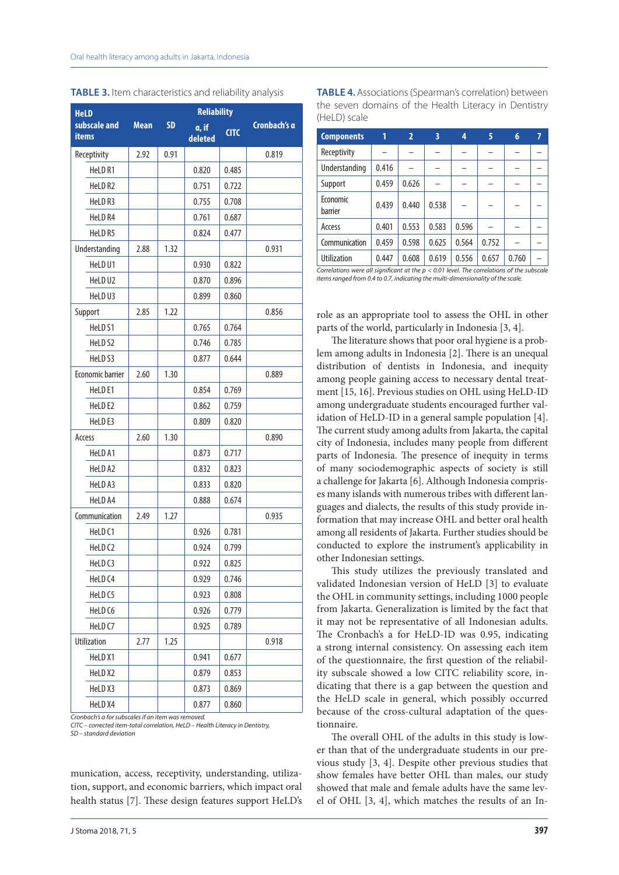| <b>HeLD</b>                  | <b>Reliability</b> |           |                  |             |              |  |  |  |
|------------------------------|--------------------|-----------|------------------|-------------|--------------|--|--|--|
| subscale and<br><b>items</b> | <b>Mean</b>        | <b>SD</b> | a, if<br>deleted | <b>CITC</b> | Cronbach's a |  |  |  |
| Receptivity                  | 2.92               | 0.91      |                  |             | 0.819        |  |  |  |
| HeLD <sub>R1</sub>           |                    |           | 0.820            | 0.485       |              |  |  |  |
| HeLD R2                      |                    |           | 0.751            | 0.722       |              |  |  |  |
| HeLD R3                      |                    |           | 0.755            | 0.708       |              |  |  |  |
| HeLD R4                      |                    |           | 0.761            | 0.687       |              |  |  |  |
| HeLD <sub>R5</sub>           |                    |           | 0.824            | 0.477       |              |  |  |  |
| Understanding                | 2.88               | 1.32      |                  |             | 0.931        |  |  |  |
| HeLD U1                      |                    |           | 0.930            | 0.822       |              |  |  |  |
| HeLD U2                      |                    |           | 0.870            | 0.896       |              |  |  |  |
| HeLD U3                      |                    |           | 0.899            | 0.860       |              |  |  |  |
| Support                      | 2.85               | 1.22      |                  |             | 0.856        |  |  |  |
| HeLD S1                      |                    |           | 0.765            | 0.764       |              |  |  |  |
| HeLD S2                      |                    |           | 0.746            | 0.785       |              |  |  |  |
| HeLD <sub>S3</sub>           |                    |           | 0.877            | 0.644       |              |  |  |  |
| <b>Economic barrier</b>      | 2.60               | 1.30      |                  |             | 0.889        |  |  |  |
| HeLD E1                      |                    |           | 0.854            | 0.769       |              |  |  |  |
| HeLD E2                      |                    |           | 0.862            | 0.759       |              |  |  |  |
| HeLD <sub>E3</sub>           |                    |           | 0.809            | 0.820       |              |  |  |  |
| Access                       | 2.60               | 1.30      |                  |             | 0.890        |  |  |  |
| HeLD A1                      |                    |           | 0.873            | 0.717       |              |  |  |  |
| HeLD A2                      |                    |           | 0.832            | 0.823       |              |  |  |  |
| HeLD A3                      |                    |           | 0.833            | 0.820       |              |  |  |  |
| HeLD A4                      |                    |           | 0.888            | 0.674       |              |  |  |  |
| Communication                | 2.49               | 1.27      |                  |             | 0.935        |  |  |  |
| HeLD C1                      |                    |           | 0.926            | 0.781       |              |  |  |  |
| HeLD <sub>C2</sub>           |                    |           | 0.924            | 0.799       |              |  |  |  |
| HeLD <sub>C3</sub>           |                    |           | 0.922            | 0.825       |              |  |  |  |
| HeLD <sub>C4</sub>           |                    |           | 0.929            | 0.746       |              |  |  |  |
| HeLD C5                      |                    |           | 0.923            | 0.808       |              |  |  |  |
| HeLD C6                      |                    |           | 0.926            | 0.779       |              |  |  |  |
| HeLD C7                      |                    |           | 0.925            | 0.789       |              |  |  |  |
| <b>Utilization</b>           | 2.77               | 1.25      |                  |             | 0.918        |  |  |  |
| HeLD X1                      |                    |           | 0.941            | 0.677       |              |  |  |  |
| HeLD X2                      |                    |           | 0.879            | 0.853       |              |  |  |  |
| HeLD X3                      |                    |           | 0.873            | 0.869       |              |  |  |  |
| HeLD X4                      |                    |           | 0.877            | 0.860       |              |  |  |  |

**TABLE 3.** Item characteristics and reliability analysis

*Cronbach's α for subscales if an item was removed. CITC – corrected item-total correlation, HeLD – Health Literacy in Dentistry, SD – standard deviation*

munication, access, receptivity, understanding, utilization, support, and economic barriers, which impact oral health status [7]. These design features support HeLD's

**TABLE 4.** Associations (Spearman's correlation) between the seven domains of the Health Literacy in Dentistry (HeLD) scale

| <b>Components</b>                                                                           | 1     | $\overline{2}$ | 3     | 4     | 5     | 6     | 7 |  |  |
|---------------------------------------------------------------------------------------------|-------|----------------|-------|-------|-------|-------|---|--|--|
| Receptivity                                                                                 |       |                |       |       |       |       |   |  |  |
| Understanding                                                                               | 0.416 |                |       |       |       |       |   |  |  |
| Support                                                                                     | 0.459 | 0.626          |       |       |       |       |   |  |  |
| Economic<br>barrier                                                                         | 0.439 | 0.440          | 0.538 |       |       |       |   |  |  |
| Access                                                                                      | 0.401 | 0.553          | 0.583 | 0.596 |       |       |   |  |  |
| Communication                                                                               | 0.459 | 0.598          | 0.625 | 0.564 | 0.752 |       |   |  |  |
| <b>Utilization</b>                                                                          | 0.447 | 0.608          | 0.619 | 0.556 | 0.657 | 0.760 |   |  |  |
| Correlations were all significant at the $p < 0.01$ level. The correlations of the subscale |       |                |       |       |       |       |   |  |  |

*items ranged from 0.4 to 0.7, indicating the multi-dimensionality of the scale.*

role as an appropriate tool to assess the OHL in other parts of the world, particularly in Indonesia [3, 4].

The literature shows that poor oral hygiene is a problem among adults in Indonesia [2]. There is an unequal distribution of dentists in Indonesia, and inequity among people gaining access to necessary dental treatment [15, 16]. Previous studies on OHL using HeLD-ID among undergraduate students encouraged further validation of HeLD-ID in a general sample population [4]. The current study among adults from Jakarta, the capital city of Indonesia, includes many people from different parts of Indonesia. The presence of inequity in terms of many sociodemographic aspects of society is still a challenge for Jakarta [6]. Although Indonesia comprises many islands with numerous tribes with different languages and dialects, the results of this study provide information that may increase OHL and better oral health among all residents of Jakarta. Further studies should be conducted to explore the instrument's applicability in other Indonesian settings.

This study utilizes the previously translated and validated Indonesian version of HeLD [3] to evaluate the OHL in community settings, including 1000 people from Jakarta. Generalization is limited by the fact that it may not be representative of all Indonesian adults. The Cronbach's a for HeLD-ID was 0.95, indicating a strong internal consistency. On assessing each item of the questionnaire, the first question of the reliability subscale showed a low CITC reliability score, indicating that there is a gap between the question and the HeLD scale in general, which possibly occurred because of the cross-cultural adaptation of the questionnaire.

The overall OHL of the adults in this study is lower than that of the undergraduate students in our previous study [3, 4]. Despite other previous studies that show females have better OHL than males, our study showed that male and female adults have the same level of OHL [3, 4], which matches the results of an In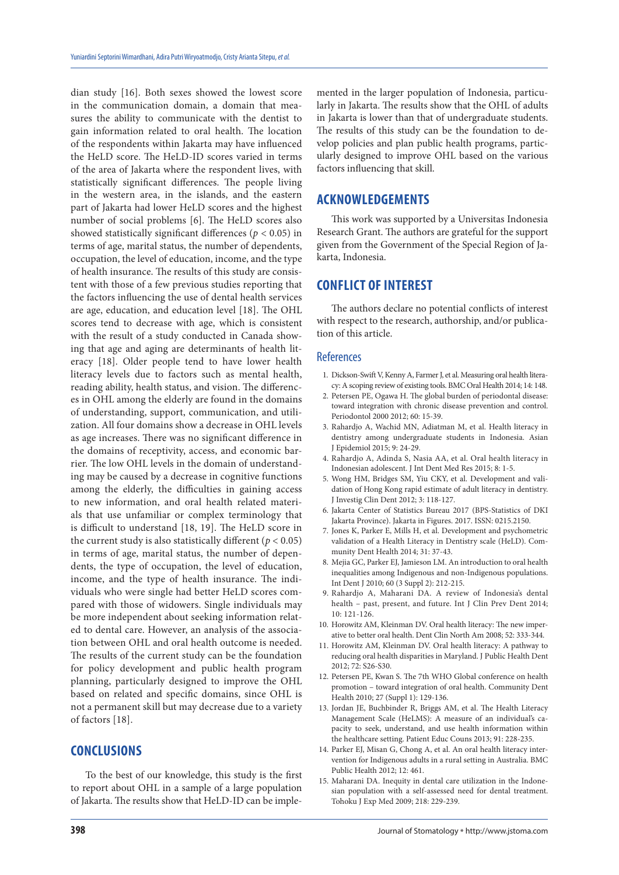dian study [16]. Both sexes showed the lowest score in the communication domain, a domain that measures the ability to communicate with the dentist to gain information related to oral health. The location of the respondents within Jakarta may have influenced the HeLD score. The HeLD-ID scores varied in terms of the area of Jakarta where the respondent lives, with statistically significant differences. The people living in the western area, in the islands, and the eastern part of Jakarta had lower HeLD scores and the highest number of social problems [6]. The HeLD scores also showed statistically significant differences ( $p < 0.05$ ) in terms of age, marital status, the number of dependents, occupation, the level of education, income, and the type of health insurance. The results of this study are consistent with those of a few previous studies reporting that the factors influencing the use of dental health services are age, education, and education level [18]. The OHL scores tend to decrease with age, which is consistent with the result of a study conducted in Canada showing that age and aging are determinants of health literacy [18]. Older people tend to have lower health literacy levels due to factors such as mental health, reading ability, health status, and vision. The differences in OHL among the elderly are found in the domains of understanding, support, communication, and utilization. All four domains show a decrease in OHL levels as age increases. There was no significant difference in the domains of receptivity, access, and economic barrier. The low OHL levels in the domain of understanding may be caused by a decrease in cognitive functions among the elderly, the difficulties in gaining access to new information, and oral health related materials that use unfamiliar or complex terminology that is difficult to understand [18, 19]. The HeLD score in the current study is also statistically different ( $p < 0.05$ ) in terms of age, marital status, the number of dependents, the type of occupation, the level of education, income, and the type of health insurance. The individuals who were single had better HeLD scores compared with those of widowers. Single individuals may be more independent about seeking information related to dental care. However, an analysis of the association between OHL and oral health outcome is needed. The results of the current study can be the foundation for policy development and public health program planning, particularly designed to improve the OHL based on related and specific domains, since OHL is not a permanent skill but may decrease due to a variety of factors [18].

## **CONCLUSIONS**

To the best of our knowledge, this study is the first to report about OHL in a sample of a large population of Jakarta. The results show that HeLD-ID can be imple-

mented in the larger population of Indonesia, particularly in Jakarta. The results show that the OHL of adults in Jakarta is lower than that of undergraduate students. The results of this study can be the foundation to develop policies and plan public health programs, particularly designed to improve OHL based on the various factors influencing that skill.

#### **ACKNOWLEDGEMENTS**

This work was supported by a Universitas Indonesia Research Grant. The authors are grateful for the support given from the Government of the Special Region of Jakarta, Indonesia.

# **CONFLICT OF INTEREST**

The authors declare no potential conflicts of interest with respect to the research, authorship, and/or publication of this article.

#### References

- 1. Dickson-Swift V, Kenny A, Farmer J, et al. Measuring oral health literacy: A scoping review of existing tools. BMC Oral Health 2014; 14: 148.
- 2. Petersen PE, Ogawa H. The global burden of periodontal disease: toward integration with chronic disease prevention and control. Periodontol 2000 2012; 60: 15-39.
- 3. Rahardjo A, Wachid MN, Adiatman M, et al. Health literacy in dentistry among undergraduate students in Indonesia. Asian J Epidemiol 2015; 9: 24-29.
- 4. Rahardjo A, Adinda S, Nasia AA, et al. Oral health literacy in Indonesian adolescent. J Int Dent Med Res 2015; 8: 1-5.
- 5. Wong HM, Bridges SM, Yiu CKY, et al. Development and validation of Hong Kong rapid estimate of adult literacy in dentistry. J Investig Clin Dent 2012; 3: 118-127.
- 6. Jakarta Center of Statistics Bureau 2017 (BPS-Statistics of DKI Jakarta Province). Jakarta in Figures. 2017. ISSN: 0215.2150.
- 7. Jones K, Parker E, Mills H, et al. Development and psychometric validation of a Health Literacy in Dentistry scale (HeLD). Community Dent Health 2014; 31: 37-43.
- 8. Mejia GC, Parker EJ, Jamieson LM. An introduction to oral health inequalities among Indigenous and non-Indigenous populations. Int Dent J 2010; 60 (3 Suppl 2): 212-215.
- 9. Rahardjo A, Maharani DA. A review of Indonesia's dental health – past, present, and future. Int J Clin Prev Dent 2014; 10: 121-126.
- 10. Horowitz AM, Kleinman DV. Oral health literacy: The new imperative to better oral health. Dent Clin North Am 2008; 52: 333-344.
- 11. Horowitz AM, Kleinman DV. Oral health literacy: A pathway to reducing oral health disparities in Maryland. J Public Health Dent 2012; 72: S26-S30.
- 12. Petersen PE, Kwan S. The 7th WHO Global conference on health promotion – toward integration of oral health. Community Dent Health 2010; 27 (Suppl 1): 129-136.
- 13. Jordan JE, Buchbinder R, Briggs AM, et al. The Health Literacy Management Scale (HeLMS): A measure of an individual's capacity to seek, understand, and use health information within the healthcare setting. Patient Educ Couns 2013; 91: 228-235.
- 14. Parker EJ, Misan G, Chong A, et al. An oral health literacy intervention for Indigenous adults in a rural setting in Australia. BMC Public Health 2012; 12: 461.
- 15. Maharani DA. Inequity in dental care utilization in the Indonesian population with a self-assessed need for dental treatment. Tohoku J Exp Med 2009; 218: 229-239.